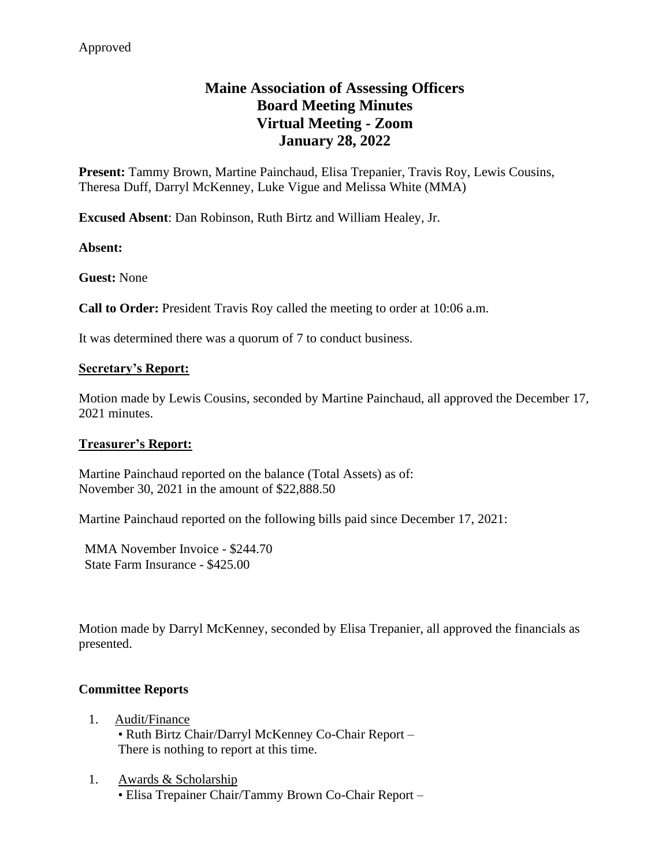# **Maine Association of Assessing Officers Board Meeting Minutes Virtual Meeting - Zoom January 28, 2022**

**Present:** Tammy Brown, Martine Painchaud, Elisa Trepanier, Travis Roy, Lewis Cousins, Theresa Duff, Darryl McKenney, Luke Vigue and Melissa White (MMA)

**Excused Absent**: Dan Robinson, Ruth Birtz and William Healey, Jr.

### **Absent:**

**Guest:** None

**Call to Order:** President Travis Roy called the meeting to order at 10:06 a.m.

It was determined there was a quorum of 7 to conduct business.

### **Secretary's Report:**

Motion made by Lewis Cousins, seconded by Martine Painchaud, all approved the December 17, 2021 minutes.

# **Treasurer's Report:**

Martine Painchaud reported on the balance (Total Assets) as of: November 30, 2021 in the amount of \$22,888.50

Martine Painchaud reported on the following bills paid since December 17, 2021:

MMA November Invoice - \$244.70 State Farm Insurance - \$425.00

Motion made by Darryl McKenney, seconded by Elisa Trepanier, all approved the financials as presented.

# **Committee Reports**

- 1. Audit/Finance • Ruth Birtz Chair/Darryl McKenney Co-Chair Report – There is nothing to report at this time.
- 1. Awards & Scholarship • Elisa Trepainer Chair/Tammy Brown Co-Chair Report –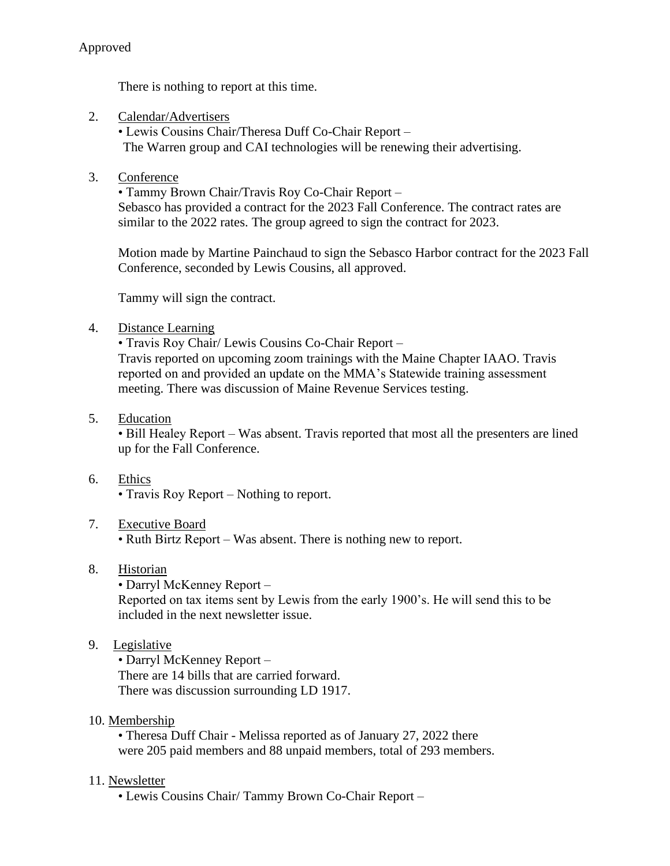There is nothing to report at this time.

2. Calendar/Advertisers

• Lewis Cousins Chair/Theresa Duff Co-Chair Report – The Warren group and CAI technologies will be renewing their advertising.

3. Conference

• Tammy Brown Chair/Travis Roy Co-Chair Report – Sebasco has provided a contract for the 2023 Fall Conference. The contract rates are similar to the 2022 rates. The group agreed to sign the contract for 2023.

Motion made by Martine Painchaud to sign the Sebasco Harbor contract for the 2023 Fall Conference, seconded by Lewis Cousins, all approved.

Tammy will sign the contract.

4. Distance Learning

• Travis Roy Chair/ Lewis Cousins Co-Chair Report –

Travis reported on upcoming zoom trainings with the Maine Chapter IAAO. Travis reported on and provided an update on the MMA's Statewide training assessment meeting. There was discussion of Maine Revenue Services testing.

5. Education

• Bill Healey Report – Was absent. Travis reported that most all the presenters are lined up for the Fall Conference.

6. Ethics

• Travis Roy Report – Nothing to report.

7. Executive Board

• Ruth Birtz Report – Was absent. There is nothing new to report.

- 8. Historian
	- Darryl McKenney Report –

Reported on tax items sent by Lewis from the early 1900's. He will send this to be included in the next newsletter issue.

9. Legislative

• Darryl McKenney Report – There are 14 bills that are carried forward. There was discussion surrounding LD 1917.

10. Membership

• Theresa Duff Chair - Melissa reported as of January 27, 2022 there were 205 paid members and 88 unpaid members, total of 293 members.

# 11. Newsletter

• Lewis Cousins Chair/ Tammy Brown Co-Chair Report –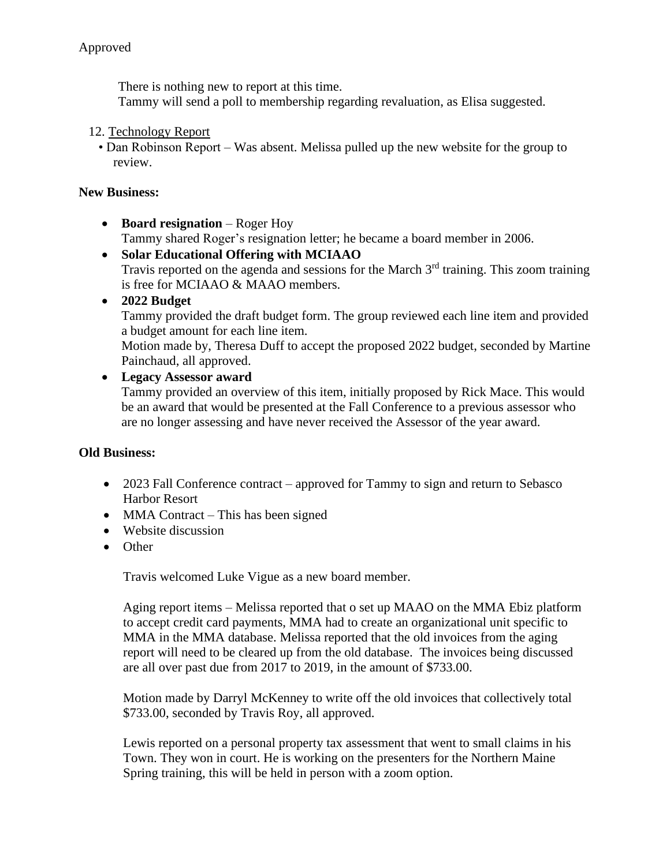There is nothing new to report at this time.

Tammy will send a poll to membership regarding revaluation, as Elisa suggested.

#### 12. Technology Report

• Dan Robinson Report – Was absent. Melissa pulled up the new website for the group to review.

#### **New Business:**

- **Board resignation** Roger Hoy Tammy shared Roger's resignation letter; he became a board member in 2006.
- **Solar Educational Offering with MCIAAO** Travis reported on the agenda and sessions for the March  $3<sup>rd</sup>$  training. This zoom training is free for MCIAAO & MAAO members.
- **2022 Budget**

Tammy provided the draft budget form. The group reviewed each line item and provided a budget amount for each line item.

Motion made by, Theresa Duff to accept the proposed 2022 budget, seconded by Martine Painchaud, all approved.

### • **Legacy Assessor award**

Tammy provided an overview of this item, initially proposed by Rick Mace. This would be an award that would be presented at the Fall Conference to a previous assessor who are no longer assessing and have never received the Assessor of the year award.

#### **Old Business:**

- 2023 Fall Conference contract approved for Tammy to sign and return to Sebasco Harbor Resort
- MMA Contract This has been signed
- Website discussion
- Other

Travis welcomed Luke Vigue as a new board member.

Aging report items – Melissa reported that o set up MAAO on the MMA Ebiz platform to accept credit card payments, MMA had to create an organizational unit specific to MMA in the MMA database. Melissa reported that the old invoices from the aging report will need to be cleared up from the old database. The invoices being discussed are all over past due from 2017 to 2019, in the amount of \$733.00.

Motion made by Darryl McKenney to write off the old invoices that collectively total \$733.00, seconded by Travis Roy, all approved.

Lewis reported on a personal property tax assessment that went to small claims in his Town. They won in court. He is working on the presenters for the Northern Maine Spring training, this will be held in person with a zoom option.